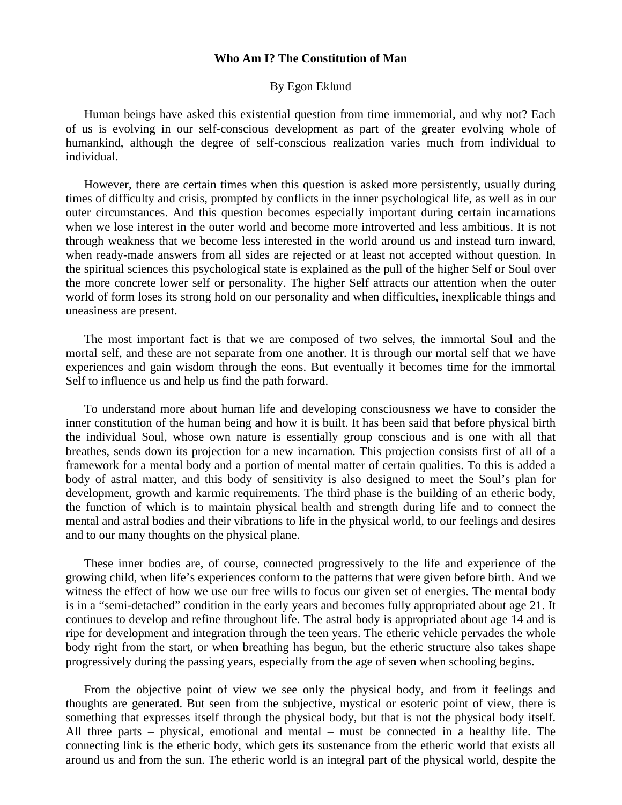## **Who Am I? The Constitution of Man**

## By Egon Eklund

 Human beings have asked this existential question from time immemorial, and why not? Each of us is evolving in our self-conscious development as part of the greater evolving whole of humankind, although the degree of self-conscious realization varies much from individual to individual.

 However, there are certain times when this question is asked more persistently, usually during times of difficulty and crisis, prompted by conflicts in the inner psychological life, as well as in our outer circumstances. And this question becomes especially important during certain incarnations when we lose interest in the outer world and become more introverted and less ambitious. It is not through weakness that we become less interested in the world around us and instead turn inward, when ready-made answers from all sides are rejected or at least not accepted without question. In the spiritual sciences this psychological state is explained as the pull of the higher Self or Soul over the more concrete lower self or personality. The higher Self attracts our attention when the outer world of form loses its strong hold on our personality and when difficulties, inexplicable things and uneasiness are present.

 The most important fact is that we are composed of two selves, the immortal Soul and the mortal self, and these are not separate from one another. It is through our mortal self that we have experiences and gain wisdom through the eons. But eventually it becomes time for the immortal Self to influence us and help us find the path forward.

 To understand more about human life and developing consciousness we have to consider the inner constitution of the human being and how it is built. It has been said that before physical birth the individual Soul, whose own nature is essentially group conscious and is one with all that breathes, sends down its projection for a new incarnation. This projection consists first of all of a framework for a mental body and a portion of mental matter of certain qualities. To this is added a body of astral matter, and this body of sensitivity is also designed to meet the Soul's plan for development, growth and karmic requirements. The third phase is the building of an etheric body, the function of which is to maintain physical health and strength during life and to connect the mental and astral bodies and their vibrations to life in the physical world, to our feelings and desires and to our many thoughts on the physical plane.

 These inner bodies are, of course, connected progressively to the life and experience of the growing child, when life's experiences conform to the patterns that were given before birth. And we witness the effect of how we use our free wills to focus our given set of energies. The mental body is in a "semi-detached" condition in the early years and becomes fully appropriated about age 21. It continues to develop and refine throughout life. The astral body is appropriated about age 14 and is ripe for development and integration through the teen years. The etheric vehicle pervades the whole body right from the start, or when breathing has begun, but the etheric structure also takes shape progressively during the passing years, especially from the age of seven when schooling begins.

 From the objective point of view we see only the physical body, and from it feelings and thoughts are generated. But seen from the subjective, mystical or esoteric point of view, there is something that expresses itself through the physical body, but that is not the physical body itself. All three parts – physical, emotional and mental – must be connected in a healthy life. The connecting link is the etheric body, which gets its sustenance from the etheric world that exists all around us and from the sun. The etheric world is an integral part of the physical world, despite the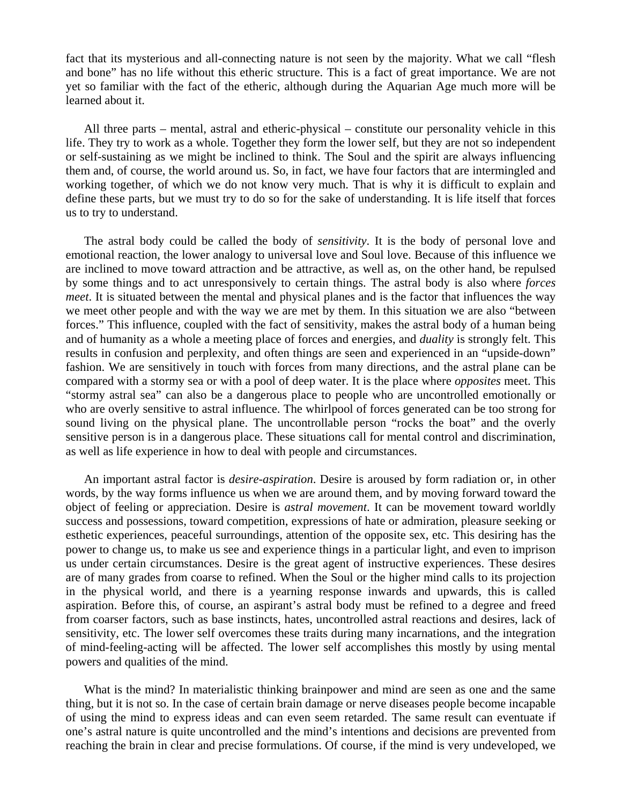fact that its mysterious and all-connecting nature is not seen by the majority. What we call "flesh and bone" has no life without this etheric structure. This is a fact of great importance. We are not yet so familiar with the fact of the etheric, although during the Aquarian Age much more will be learned about it.

 All three parts – mental, astral and etheric-physical – constitute our personality vehicle in this life. They try to work as a whole. Together they form the lower self, but they are not so independent or self-sustaining as we might be inclined to think. The Soul and the spirit are always influencing them and, of course, the world around us. So, in fact, we have four factors that are intermingled and working together, of which we do not know very much. That is why it is difficult to explain and define these parts, but we must try to do so for the sake of understanding. It is life itself that forces us to try to understand.

 The astral body could be called the body of *sensitivity*. It is the body of personal love and emotional reaction, the lower analogy to universal love and Soul love. Because of this influence we are inclined to move toward attraction and be attractive, as well as, on the other hand, be repulsed by some things and to act unresponsively to certain things. The astral body is also where *forces meet*. It is situated between the mental and physical planes and is the factor that influences the way we meet other people and with the way we are met by them. In this situation we are also "between forces." This influence, coupled with the fact of sensitivity, makes the astral body of a human being and of humanity as a whole a meeting place of forces and energies, and *duality* is strongly felt. This results in confusion and perplexity, and often things are seen and experienced in an "upside-down" fashion. We are sensitively in touch with forces from many directions, and the astral plane can be compared with a stormy sea or with a pool of deep water. It is the place where *opposites* meet. This "stormy astral sea" can also be a dangerous place to people who are uncontrolled emotionally or who are overly sensitive to astral influence. The whirlpool of forces generated can be too strong for sound living on the physical plane. The uncontrollable person "rocks the boat" and the overly sensitive person is in a dangerous place. These situations call for mental control and discrimination, as well as life experience in how to deal with people and circumstances.

 An important astral factor is *desire-aspiration*. Desire is aroused by form radiation or, in other words, by the way forms influence us when we are around them, and by moving forward toward the object of feeling or appreciation. Desire is *astral movement*. It can be movement toward worldly success and possessions, toward competition, expressions of hate or admiration, pleasure seeking or esthetic experiences, peaceful surroundings, attention of the opposite sex, etc. This desiring has the power to change us, to make us see and experience things in a particular light, and even to imprison us under certain circumstances. Desire is the great agent of instructive experiences. These desires are of many grades from coarse to refined. When the Soul or the higher mind calls to its projection in the physical world, and there is a yearning response inwards and upwards, this is called aspiration. Before this, of course, an aspirant's astral body must be refined to a degree and freed from coarser factors, such as base instincts, hates, uncontrolled astral reactions and desires, lack of sensitivity, etc. The lower self overcomes these traits during many incarnations, and the integration of mind-feeling-acting will be affected. The lower self accomplishes this mostly by using mental powers and qualities of the mind.

 What is the mind? In materialistic thinking brainpower and mind are seen as one and the same thing, but it is not so. In the case of certain brain damage or nerve diseases people become incapable of using the mind to express ideas and can even seem retarded. The same result can eventuate if one's astral nature is quite uncontrolled and the mind's intentions and decisions are prevented from reaching the brain in clear and precise formulations. Of course, if the mind is very undeveloped, we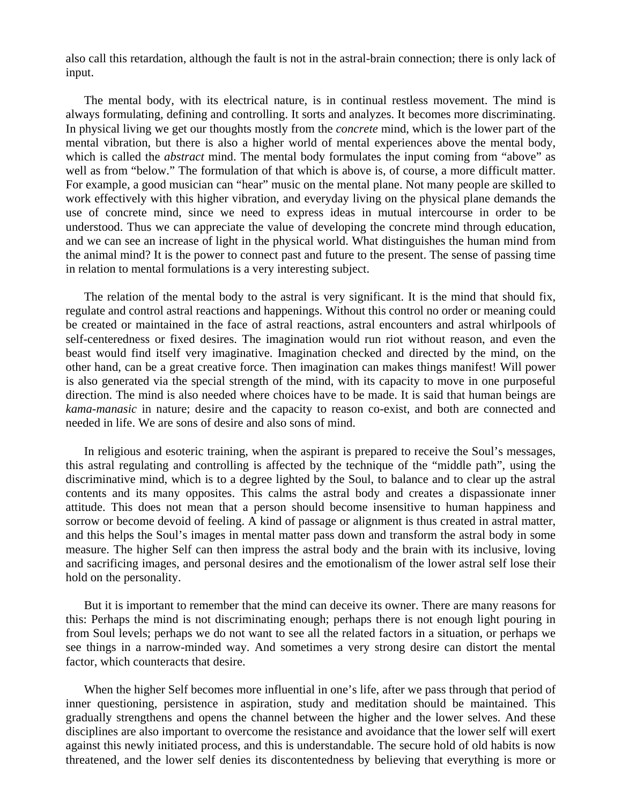also call this retardation, although the fault is not in the astral-brain connection; there is only lack of input.

 The mental body, with its electrical nature, is in continual restless movement. The mind is always formulating, defining and controlling. It sorts and analyzes. It becomes more discriminating. In physical living we get our thoughts mostly from the *concrete* mind, which is the lower part of the mental vibration, but there is also a higher world of mental experiences above the mental body, which is called the *abstract* mind. The mental body formulates the input coming from "above" as well as from "below." The formulation of that which is above is, of course, a more difficult matter. For example, a good musician can "hear" music on the mental plane. Not many people are skilled to work effectively with this higher vibration, and everyday living on the physical plane demands the use of concrete mind, since we need to express ideas in mutual intercourse in order to be understood. Thus we can appreciate the value of developing the concrete mind through education, and we can see an increase of light in the physical world. What distinguishes the human mind from the animal mind? It is the power to connect past and future to the present. The sense of passing time in relation to mental formulations is a very interesting subject.

 The relation of the mental body to the astral is very significant. It is the mind that should fix, regulate and control astral reactions and happenings. Without this control no order or meaning could be created or maintained in the face of astral reactions, astral encounters and astral whirlpools of self-centeredness or fixed desires. The imagination would run riot without reason, and even the beast would find itself very imaginative. Imagination checked and directed by the mind, on the other hand, can be a great creative force. Then imagination can makes things manifest! Will power is also generated via the special strength of the mind, with its capacity to move in one purposeful direction. The mind is also needed where choices have to be made. It is said that human beings are *kama-manasic* in nature; desire and the capacity to reason co-exist, and both are connected and needed in life. We are sons of desire and also sons of mind.

 In religious and esoteric training, when the aspirant is prepared to receive the Soul's messages, this astral regulating and controlling is affected by the technique of the "middle path", using the discriminative mind, which is to a degree lighted by the Soul, to balance and to clear up the astral contents and its many opposites. This calms the astral body and creates a dispassionate inner attitude. This does not mean that a person should become insensitive to human happiness and sorrow or become devoid of feeling. A kind of passage or alignment is thus created in astral matter, and this helps the Soul's images in mental matter pass down and transform the astral body in some measure. The higher Self can then impress the astral body and the brain with its inclusive, loving and sacrificing images, and personal desires and the emotionalism of the lower astral self lose their hold on the personality.

 But it is important to remember that the mind can deceive its owner. There are many reasons for this: Perhaps the mind is not discriminating enough; perhaps there is not enough light pouring in from Soul levels; perhaps we do not want to see all the related factors in a situation, or perhaps we see things in a narrow-minded way. And sometimes a very strong desire can distort the mental factor, which counteracts that desire.

 When the higher Self becomes more influential in one's life, after we pass through that period of inner questioning, persistence in aspiration, study and meditation should be maintained. This gradually strengthens and opens the channel between the higher and the lower selves. And these disciplines are also important to overcome the resistance and avoidance that the lower self will exert against this newly initiated process, and this is understandable. The secure hold of old habits is now threatened, and the lower self denies its discontentedness by believing that everything is more or